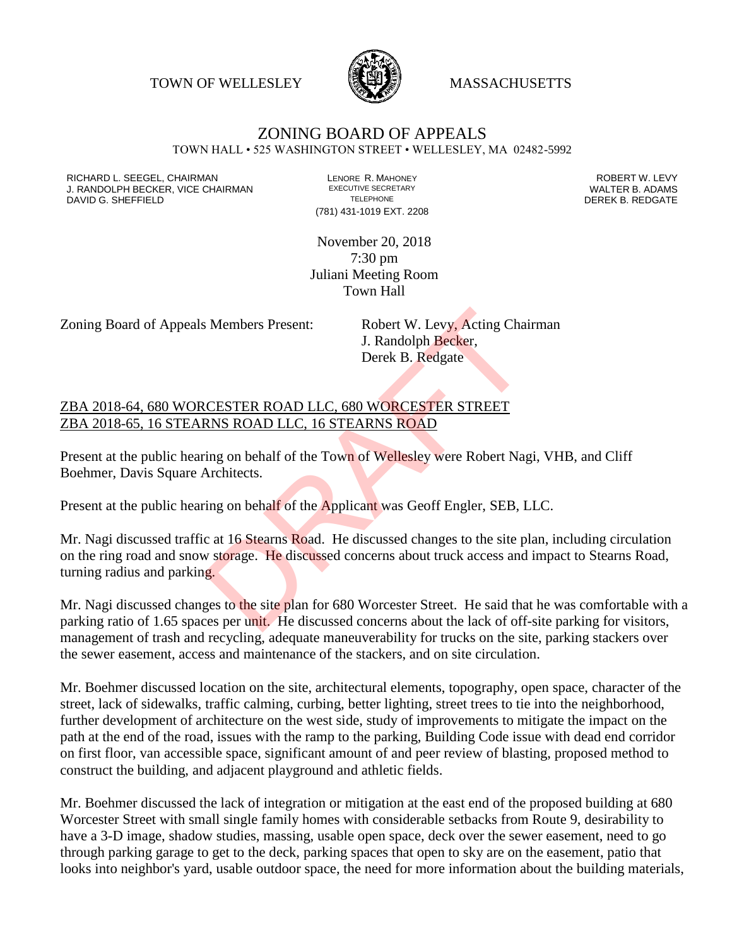TOWN OF WELLESLEY WASSACHUSETTS



## ZONING BOARD OF APPEALS

TOWN HALL • 525 WASHINGTON STREET • WELLESLEY, MA 02482-5992

RICHARD L. SEEGEL, CHAIRMAN LENORE R. MAHONEY ROBERT W. LEVY J. RANDOLPH BECKER, VICE CHAIRMAN EXECUTIVE SECRETARY THE SECRETARY THE SANDOLPH BECKER B. ADAMS<br>DEREK B. REDGATE TELEPHONE TELEPHONE TELEPHONE TELEPHONE DAVID G. SHEFFIELD

(781) 431-1019 EXT. 2208

November 20, 2018 7:30 pm Juliani Meeting Room Town Hall

Zoning Board of Appeals Members Present: Robert W. Levy, Acting Chairman

J. Randolph Becker, Derek B. Redgate

ZBA 2018-64, 680 WORCESTER ROAD LLC, 680 WORCESTER STREET ZBA 2018-65, 16 STEARNS ROAD LLC, 16 STEARNS ROAD

Present at the public hearing on behalf of the Town of Wellesley were Robert Nagi, VHB, and Cliff Boehmer, Davis Square Architects.

Present at the public hearing on behalf of the Applicant was Geoff Engler, SEB, LLC.

Mr. Nagi discussed traffic at 16 Stearns Road. He discussed changes to the site plan, including circulation on the ring road and snow storage. He discussed concerns about truck access and impact to Stearns Road, turning radius and parking. S. Members Present: Robert W. Levy, Acting Chain<br>
J. Randolph Becker,<br>
Derek B. Redgate<br>
CESTER ROAD LLC, 680 WORCESTER STREET<br>
RNS ROAD LLC, 16 STEARNS ROAD<br>
Ting on behalf of the Town of Wellesley were Robert Nag<br>
Archit

Mr. Nagi discussed changes to the site plan for 680 Worcester Street. He said that he was comfortable with a parking ratio of 1.65 spaces per unit. He discussed concerns about the lack of off-site parking for visitors, management of trash and recycling, adequate maneuverability for trucks on the site, parking stackers over the sewer easement, access and maintenance of the stackers, and on site circulation.

Mr. Boehmer discussed location on the site, architectural elements, topography, open space, character of the street, lack of sidewalks, traffic calming, curbing, better lighting, street trees to tie into the neighborhood, further development of architecture on the west side, study of improvements to mitigate the impact on the path at the end of the road, issues with the ramp to the parking, Building Code issue with dead end corridor on first floor, van accessible space, significant amount of and peer review of blasting, proposed method to construct the building, and adjacent playground and athletic fields.

Mr. Boehmer discussed the lack of integration or mitigation at the east end of the proposed building at 680 Worcester Street with small single family homes with considerable setbacks from Route 9, desirability to have a 3-D image, shadow studies, massing, usable open space, deck over the sewer easement, need to go through parking garage to get to the deck, parking spaces that open to sky are on the easement, patio that looks into neighbor's yard, usable outdoor space, the need for more information about the building materials,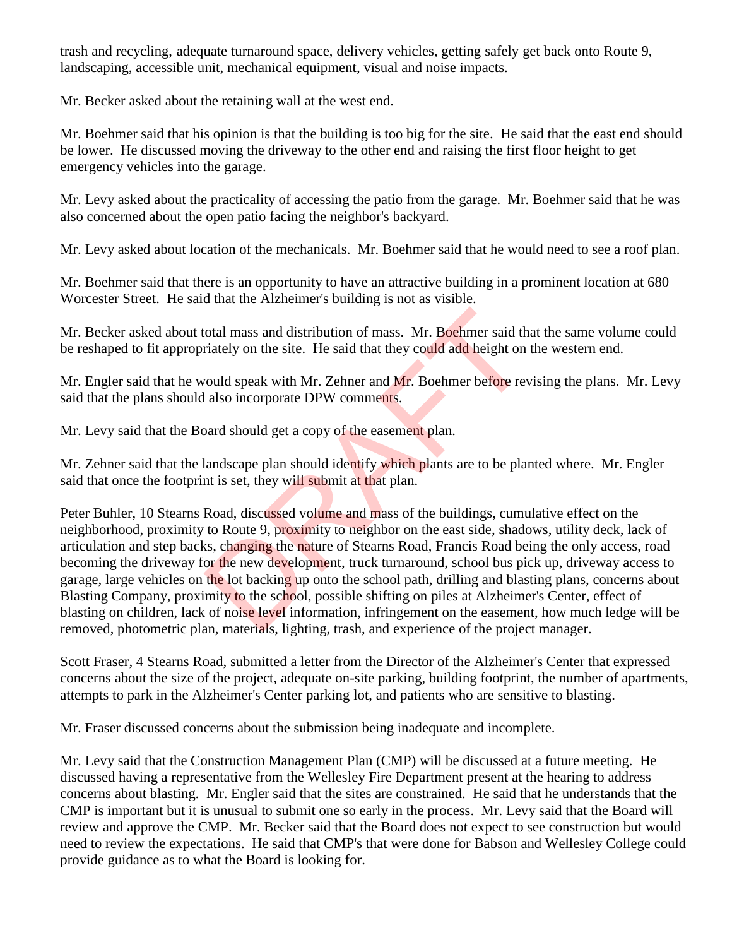trash and recycling, adequate turnaround space, delivery vehicles, getting safely get back onto Route 9, landscaping, accessible unit, mechanical equipment, visual and noise impacts.

Mr. Becker asked about the retaining wall at the west end.

Mr. Boehmer said that his opinion is that the building is too big for the site. He said that the east end should be lower. He discussed moving the driveway to the other end and raising the first floor height to get emergency vehicles into the garage.

Mr. Levy asked about the practicality of accessing the patio from the garage. Mr. Boehmer said that he was also concerned about the open patio facing the neighbor's backyard.

Mr. Levy asked about location of the mechanicals. Mr. Boehmer said that he would need to see a roof plan.

Mr. Boehmer said that there is an opportunity to have an attractive building in a prominent location at 680 Worcester Street. He said that the Alzheimer's building is not as visible.

Mr. Becker asked about total mass and distribution of mass. Mr. Boehmer said that the same volume could be reshaped to fit appropriately on the site. He said that they could add height on the western end.

Mr. Engler said that he would speak with Mr. Zehner and Mr. Boehmer before revising the plans. Mr. Levy said that the plans should also incorporate DPW comments.

Mr. Levy said that the Board should get a copy of the easement plan.

Mr. Zehner said that the landscape plan should identify which plants are to be planted where. Mr. Engler said that once the footprint is set, they will submit at that plan.

Peter Buhler, 10 Stearns Road, discussed volume and mass of the buildings, cumulative effect on the neighborhood, proximity to Route 9, proximity to neighbor on the east side, shadows, utility deck, lack of articulation and step backs, changing the nature of Stearns Road, Francis Road being the only access, road becoming the driveway for the new development, truck turnaround, school bus pick up, driveway access to garage, large vehicles on the lot backing up onto the school path, drilling and blasting plans, concerns about Blasting Company, proximity to the school, possible shifting on piles at Alzheimer's Center, effect of blasting on children, lack of noise level information, infringement on the easement, how much ledge will be removed, photometric plan, materials, lighting, trash, and experience of the project manager. otal mass and distribution of mass. Mr. Boehmer said the model and the said that they could add height on rould speak with Mr. Zehner and Mr. Boehmer before revert also incorporate DPW comments.<br>
Sard should get a copy of

Scott Fraser, 4 Stearns Road, submitted a letter from the Director of the Alzheimer's Center that expressed concerns about the size of the project, adequate on-site parking, building footprint, the number of apartments, attempts to park in the Alzheimer's Center parking lot, and patients who are sensitive to blasting.

Mr. Fraser discussed concerns about the submission being inadequate and incomplete.

Mr. Levy said that the Construction Management Plan (CMP) will be discussed at a future meeting. He discussed having a representative from the Wellesley Fire Department present at the hearing to address concerns about blasting. Mr. Engler said that the sites are constrained. He said that he understands that the CMP is important but it is unusual to submit one so early in the process. Mr. Levy said that the Board will review and approve the CMP. Mr. Becker said that the Board does not expect to see construction but would need to review the expectations. He said that CMP's that were done for Babson and Wellesley College could provide guidance as to what the Board is looking for.